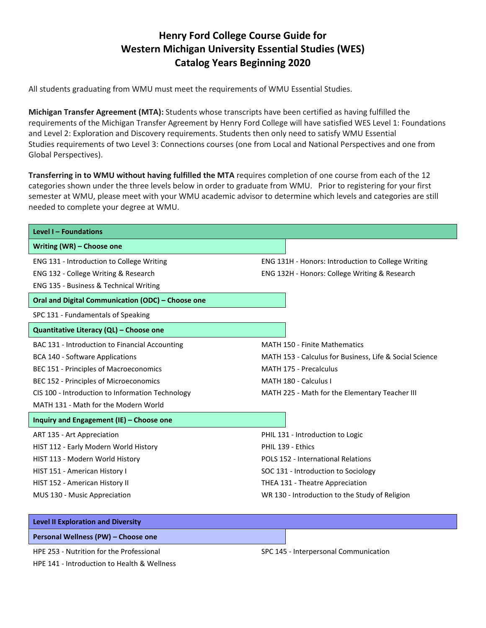## **Henry Ford College Course Guide for Western Michigan University Essential Studies (WES) Catalog Years Beginning 2020**

All students graduating from WMU must meet the requirements of WMU Essential Studies.

**Michigan Transfer Agreement (MTA):** Students whose transcripts have been certified as having fulfilled the requirements of the Michigan Transfer Agreement by Henry Ford College will have satisfied WES Level 1: Foundations and Level 2: Exploration and Discovery requirements. Students then only need to satisfy WMU Essential Studies requirements of two Level 3: Connections courses (one from Local and National Perspectives and one from Global Perspectives).

**Transferring in to WMU without having fulfilled the MTA** requires completion of one course from each of the 12 categories shown under the three levels below in order to graduate from WMU. Prior to registering for your first semester at WMU, please meet with your WMU academic advisor to determine which levels and categories are still needed to complete your degree at WMU.

| Level I - Foundations                             |                                                         |  |  |
|---------------------------------------------------|---------------------------------------------------------|--|--|
| Writing (WR) - Choose one                         |                                                         |  |  |
| ENG 131 - Introduction to College Writing         | ENG 131H - Honors: Introduction to College Writing      |  |  |
| ENG 132 - College Writing & Research              | ENG 132H - Honors: College Writing & Research           |  |  |
| ENG 135 - Business & Technical Writing            |                                                         |  |  |
| Oral and Digital Communication (ODC) - Choose one |                                                         |  |  |
| SPC 131 - Fundamentals of Speaking                |                                                         |  |  |
| Quantitative Literacy (QL) - Choose one           |                                                         |  |  |
| BAC 131 - Introduction to Financial Accounting    | <b>MATH 150 - Finite Mathematics</b>                    |  |  |
| <b>BCA 140 - Software Applications</b>            | MATH 153 - Calculus for Business, Life & Social Science |  |  |
| BEC 151 - Principles of Macroeconomics            | MATH 175 - Precalculus                                  |  |  |
| BEC 152 - Principles of Microeconomics            | MATH 180 - Calculus I                                   |  |  |
| CIS 100 - Introduction to Information Technology  | MATH 225 - Math for the Elementary Teacher III          |  |  |
| MATH 131 - Math for the Modern World              |                                                         |  |  |
| Inquiry and Engagement (IE) - Choose one          |                                                         |  |  |
| ART 135 - Art Appreciation                        | PHIL 131 - Introduction to Logic                        |  |  |
| HIST 112 - Early Modern World History             | PHIL 139 - Ethics                                       |  |  |
| HIST 113 - Modern World History                   | POLS 152 - International Relations                      |  |  |
| HIST 151 - American History I                     | SOC 131 - Introduction to Sociology                     |  |  |
| HIST 152 - American History II                    | THEA 131 - Theatre Appreciation                         |  |  |
| MUS 130 - Music Appreciation                      | WR 130 - Introduction to the Study of Religion          |  |  |
|                                                   |                                                         |  |  |
| <b>Level II Exploration and Diversity</b>         |                                                         |  |  |

**Personal Wellness (PW) – Choose one**

HPE 253 - Nutrition for the Professional

HPE 141 - Introduction to Health & Wellness

SPC 145 - Interpersonal Communication